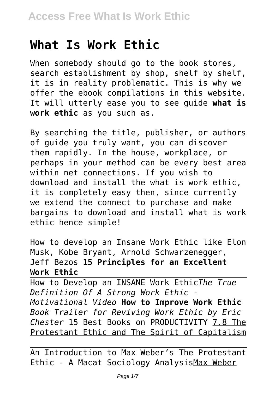# **What Is Work Ethic**

When somebody should go to the book stores, search establishment by shop, shelf by shelf, it is in reality problematic. This is why we offer the ebook compilations in this website. It will utterly ease you to see guide **what is work ethic** as you such as.

By searching the title, publisher, or authors of guide you truly want, you can discover them rapidly. In the house, workplace, or perhaps in your method can be every best area within net connections. If you wish to download and install the what is work ethic, it is completely easy then, since currently we extend the connect to purchase and make bargains to download and install what is work ethic hence simple!

How to develop an Insane Work Ethic like Elon Musk, Kobe Bryant, Arnold Schwarzenegger, Jeff Bezos **15 Principles for an Excellent Work Ethic**

How to Develop an INSANE Work Ethic*The True Definition Of A Strong Work Ethic - Motivational Video* **How to Improve Work Ethic** *Book Trailer for Reviving Work Ethic by Eric Chester* 15 Best Books on PRODUCTIVITY 7.8 The Protestant Ethic and The Spirit of Capitalism

An Introduction to Max Weber's The Protestant Ethic - A Macat Sociology AnalysisMax Weber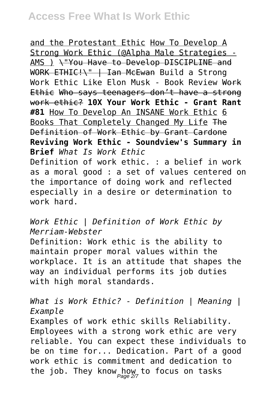and the Protestant Ethic How To Develop A Strong Work Ethic (@Alpha Male Strategies - AMS ) \"You Have to Develop DISCIPLINE and WORK ETHIC!\" | Ian McEwan Build a Strong Work Ethic Like Elon Musk - Book Review Work Ethic Who says teenagers don't have a strong work ethic? **10X Your Work Ethic - Grant Rant #81** How To Develop An INSANE Work Ethic 6 Books That Completely Changed My Life The Definition of Work Ethic by Grant Cardone **Reviving Work Ethic - Soundview's Summary in Brief** *What Is Work Ethic* Definition of work ethic. : a belief in work as a moral good : a set of values centered on the importance of doing work and reflected especially in a desire or determination to work hard.

### *Work Ethic | Definition of Work Ethic by Merriam-Webster*

Definition: Work ethic is the ability to maintain proper moral values within the workplace. It is an attitude that shapes the way an individual performs its job duties with high moral standards.

### *What is Work Ethic? - Definition | Meaning | Example*

Examples of work ethic skills Reliability. Employees with a strong work ethic are very reliable. You can expect these individuals to be on time for... Dedication. Part of a good work ethic is commitment and dedication to the job. They know how to focus on tasks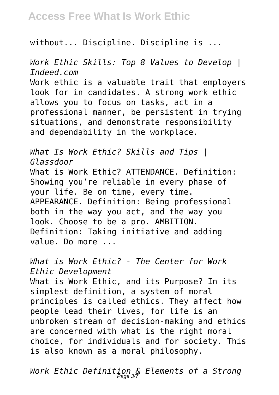# **Access Free What Is Work Ethic**

without... Discipline. Discipline is ...

*Work Ethic Skills: Top 8 Values to Develop | Indeed.com* Work ethic is a valuable trait that employers look for in candidates. A strong work ethic allows you to focus on tasks, act in a professional manner, be persistent in trying situations, and demonstrate responsibility and dependability in the workplace.

*What Is Work Ethic? Skills and Tips | Glassdoor* What is Work Ethic? ATTENDANCE. Definition: Showing you're reliable in every phase of your life. Be on time, every time. APPEARANCE. Definition: Being professional both in the way you act, and the way you look. Choose to be a pro. AMBITION. Definition: Taking initiative and adding value. Do more ...

*What is Work Ethic? - The Center for Work Ethic Development*

What is Work Ethic, and its Purpose? In its simplest definition, a system of moral principles is called ethics. They affect how people lead their lives, for life is an unbroken stream of decision-making and ethics are concerned with what is the right moral choice, for individuals and for society. This is also known as a moral philosophy.

*Work Ethic Definition & Elements of a Strong* Page 3/7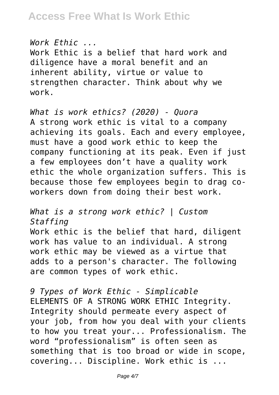*Work Ethic ...*

Work Ethic is a belief that hard work and diligence have a moral benefit and an inherent ability, virtue or value to strengthen character. Think about why we work.

*What is work ethics? (2020) - Quora* A strong work ethic is vital to a company achieving its goals. Each and every employee, must have a good work ethic to keep the company functioning at its peak. Even if just a few employees don't have a quality work ethic the whole organization suffers. This is because those few employees begin to drag coworkers down from doing their best work.

*What is a strong work ethic? | Custom Staffing* Work ethic is the belief that hard, diligent work has value to an individual. A strong work ethic may be viewed as a virtue that adds to a person's character. The following are common types of work ethic.

*9 Types of Work Ethic - Simplicable* ELEMENTS OF A STRONG WORK ETHIC Integrity. Integrity should permeate every aspect of your job, from how you deal with your clients to how you treat your... Professionalism. The word "professionalism" is often seen as something that is too broad or wide in scope, covering... Discipline. Work ethic is ...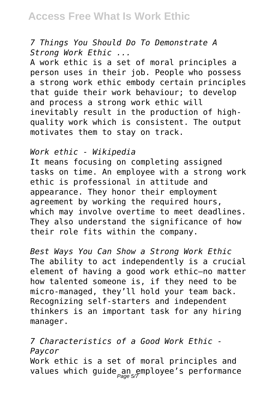# **Access Free What Is Work Ethic**

### *7 Things You Should Do To Demonstrate A Strong Work Ethic ...*

A work ethic is a set of moral principles a person uses in their job. People who possess a strong work ethic embody certain principles that guide their work behaviour; to develop and process a strong work ethic will inevitably result in the production of highquality work which is consistent. The output motivates them to stay on track.

#### *Work ethic - Wikipedia*

It means focusing on completing assigned tasks on time. An employee with a strong work ethic is professional in attitude and appearance. They honor their employment agreement by working the required hours, which may involve overtime to meet deadlines. They also understand the significance of how their role fits within the company.

*Best Ways You Can Show a Strong Work Ethic* The ability to act independently is a crucial element of having a good work ethic—no matter how talented someone is, if they need to be micro-managed, they'll hold your team back. Recognizing self-starters and independent thinkers is an important task for any hiring manager.

*7 Characteristics of a Good Work Ethic - Paycor* Work ethic is a set of moral principles and values which guide an employee's performance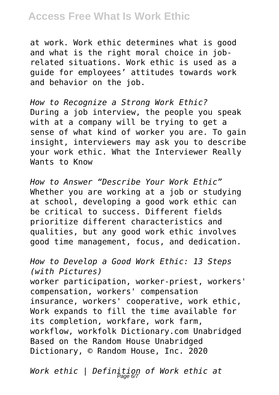# **Access Free What Is Work Ethic**

at work. Work ethic determines what is good and what is the right moral choice in jobrelated situations. Work ethic is used as a guide for employees' attitudes towards work and behavior on the job.

*How to Recognize a Strong Work Ethic?* During a job interview, the people you speak with at a company will be trying to get a sense of what kind of worker you are. To gain insight, interviewers may ask you to describe your work ethic. What the Interviewer Really Wants to Know

*How to Answer "Describe Your Work Ethic"* Whether you are working at a job or studying at school, developing a good work ethic can be critical to success. Different fields prioritize different characteristics and qualities, but any good work ethic involves good time management, focus, and dedication.

*How to Develop a Good Work Ethic: 13 Steps (with Pictures)* worker participation, worker-priest, workers' compensation, workers' compensation insurance, workers' cooperative, work ethic, Work expands to fill the time available for its completion, workfare, work farm, workflow, workfolk Dictionary.com Unabridged Based on the Random House Unabridged Dictionary, © Random House, Inc. 2020

*Work ethic | Definition of Work ethic at* Page 6/7